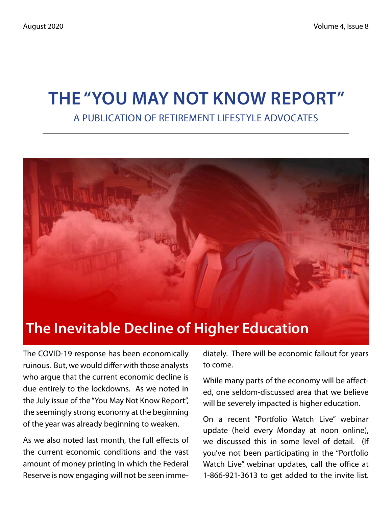# **The "You May Not Know Report"** A Publication of Retirement Lifestyle Advocates



The COVID-19 response has been economically ruinous. But, we would differ with those analysts who argue that the current economic decline is due entirely to the lockdowns. As we noted in the July issue of the "You May Not Know Report", the seemingly strong economy at the beginning of the year was already beginning to weaken.

As we also noted last month, the full effects of the current economic conditions and the vast amount of money printing in which the Federal Reserve is now engaging will not be seen imme-

diately. There will be economic fallout for years to come.

While many parts of the economy will be affected, one seldom-discussed area that we believe will be severely impacted is higher education.

On a recent "Portfolio Watch Live" webinar update (held every Monday at noon online), we discussed this in some level of detail. (If you've not been participating in the "Portfolio Watch Live" webinar updates, call the office at 1-866-921-3613 to get added to the invite list.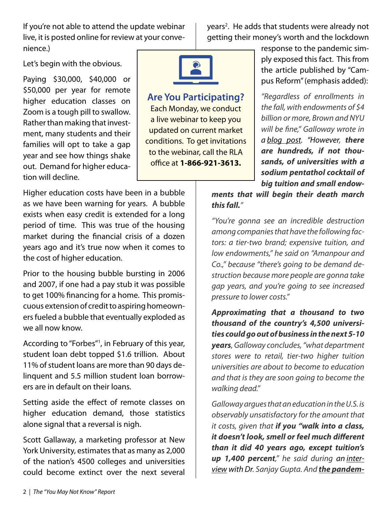If you're not able to attend the update webinar live, it is posted online for review at your convenience.)

years<sup>2</sup>. He adds that students were already not getting their money's worth and the lockdown

Let's begin with the obvious.

Paying \$30,000, \$40,000 or \$50,000 per year for remote higher education classes on Zoom is a tough pill to swallow. Rather than making that investment, many students and their families will opt to take a gap year and see how things shake out. Demand for higher education will decline.



#### **Are You Participating?**

Each Monday, we conduct a live webinar to keep you updated on current market conditions. To get invitations to the webinar, call the RLA office at **1-866-921-3613.**

response to the pandemic simply exposed this fact. This from the article published by "Campus Reform" (emphasis added):

*"Regardless of enrollments in the fall, with endowments of \$4 billion or more, Brown and NYU will be fine," Galloway wrote in a blog post. "However, there are hundreds, if not thousands, of universities with a sodium pentathol cocktail of big tuition and small endow-*

Higher education costs have been in a bubble as we have been warning for years. A bubble exists when easy credit is extended for a long period of time. This was true of the housing market during the financial crisis of a dozen years ago and it's true now when it comes to the cost of higher education.

Prior to the housing bubble bursting in 2006 and 2007, if one had a pay stub it was possible to get 100% financing for a home. This promiscuous extension of credit to aspiring homeowners fueled a bubble that eventually exploded as we all now know.

According to "Forbes"1 , in February of this year, student loan debt topped \$1.6 trillion. About 11% of student loans are more than 90 days delinquent and 5.5 million student loan borrowers are in default on their loans.

Setting aside the effect of remote classes on higher education demand, those statistics alone signal that a reversal is nigh.

Scott Gallaway, a marketing professor at New York University, estimates that as many as 2,000 of the nation's 4500 colleges and universities could become extinct over the next several *ments that will begin their death march this fall."*

*"You're gonna see an incredible destruction among companies that have the following factors: a tier-two brand; expensive tuition, and low endowments," he said on "Amanpour and Co.," because "there's going to be demand destruction because more people are gonna take gap years, and you're going to see increased pressure to lower costs."*

*Approximating that a thousand to two thousand of the country's 4,500 universities could go out of business in the next 5-10 years, Galloway concludes, "what department stores were to retail, tier-two higher tuition universities are about to become to education and that is they are soon going to become the walking dead."*

*Galloway argues that an education in the U.S. is observably unsatisfactory for the amount that it costs, given that if you "walk into a class, it doesn't look, smell or feel much different than it did 40 years ago, except tuition's up 1,400 percent," he said during an interview with Dr. Sanjay Gupta. And the pandem-*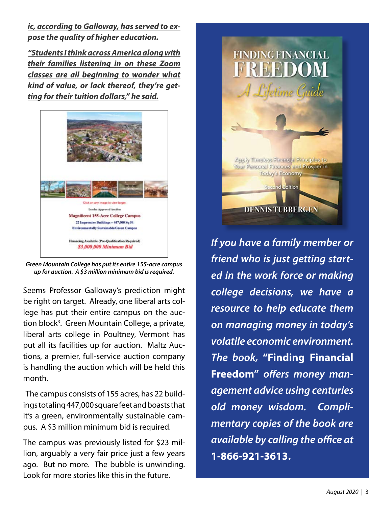*ic, according to Galloway, has served to expose the quality of higher education.*

*"Students I think across America along with their families listening in on these Zoom classes are all beginning to wonder what kind of value, or lack thereof, they're getting for their tuition dollars," he said.*



*Green Mountain College has put its entire 155-acre campus up for auction. A \$3 million minimum bid is required.*

Seems Professor Galloway's prediction might be right on target. Already, one liberal arts college has put their entire campus on the auction block<sup>3</sup>. Green Mountain College, a private, liberal arts college in Poultney, Vermont has put all its facilities up for auction. Maltz Auctions, a premier, full-service auction company is handling the auction which will be held this month.

 The campus consists of 155 acres, has 22 buildings totaling 447,000 square feet and boasts that it's a green, environmentally sustainable campus. A \$3 million minimum bid is required.

The campus was previously listed for \$23 million, arguably a very fair price just a few years ago. But no more. The bubble is unwinding. Look for more stories like this in the future.



*If you have a family member or friend who is just getting started in the work force or making college decisions, we have a resource to help educate them on managing money in today's volatile economic environment. The book,* **"Finding Financial Freedom"** *offers money management advice using centuries old money wisdom. Complimentary copies of the book are available by calling the office at*  **1-866-921-3613.**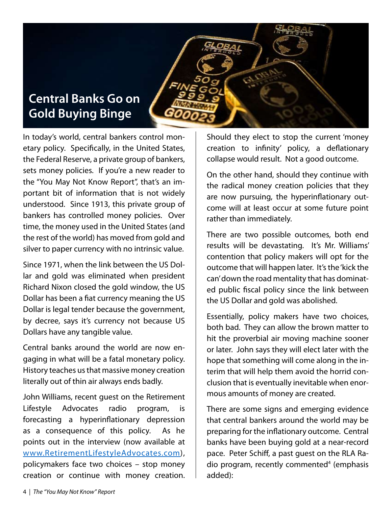# **Central Banks Go on Gold Buying Binge**

In today's world, central bankers control monetary policy. Specifically, in the United States, the Federal Reserve, a private group of bankers, sets money policies. If you're a new reader to the "You May Not Know Report", that's an important bit of information that is not widely understood. Since 1913, this private group of bankers has controlled money policies. Over time, the money used in the United States (and the rest of the world) has moved from gold and silver to paper currency with no intrinsic value.

Since 1971, when the link between the US Dollar and gold was eliminated when president Richard Nixon closed the gold window, the US Dollar has been a fiat currency meaning the US Dollar is legal tender because the government, by decree, says it's currency not because US Dollars have any tangible value.

Central banks around the world are now engaging in what will be a fatal monetary policy. History teaches us that massive money creation literally out of thin air always ends badly.

John Williams, recent guest on the Retirement Lifestyle Advocates radio program, is forecasting a hyperinflationary depression as a consequence of this policy. As he points out in the interview (now available at www.RetirementLifestyleAdvocates.com), policymakers face two choices – stop money creation or continue with money creation. Should they elect to stop the current 'money creation to infinity' policy, a deflationary collapse would result. Not a good outcome.

On the other hand, should they continue with the radical money creation policies that they are now pursuing, the hyperinflationary outcome will at least occur at some future point rather than immediately.

There are two possible outcomes, both end results will be devastating. It's Mr. Williams' contention that policy makers will opt for the outcome that will happen later. It's the 'kick the can' down the road mentality that has dominated public fiscal policy since the link between the US Dollar and gold was abolished.

Essentially, policy makers have two choices, both bad. They can allow the brown matter to hit the proverbial air moving machine sooner or later. John says they will elect later with the hope that something will come along in the interim that will help them avoid the horrid conclusion that is eventually inevitable when enormous amounts of money are created.

There are some signs and emerging evidence that central bankers around the world may be preparing for the inflationary outcome. Central banks have been buying gold at a near-record pace. Peter Schiff, a past guest on the RLA Radio program, recently commented<sup>4</sup> (emphasis added):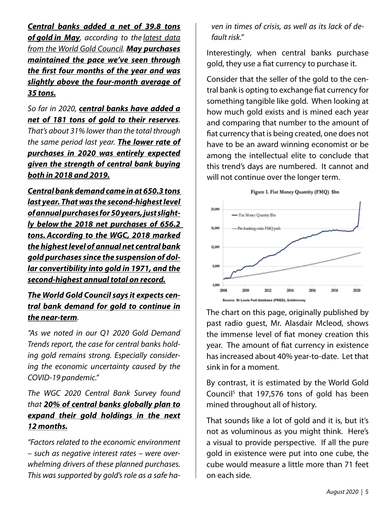*Central banks added a net of 39.8 tons of gold in May, according to the latest data from the World Gold Council. May purchases maintained the pace we've seen through the first four months of the year and was slightly above the four-month average of 35 tons.*

*So far in 2020, central banks have added a net of 181 tons of gold to their reserves. That's about 31% lower than the total through the same period last year. The lower rate of purchases in 2020 was entirely expected given the strength of central bank buying both in 2018 and 2019.*

*Central bank demand came in at 650.3 tons last year. That was the second-highest level of annual purchases for 50 years, just slightly below the 2018 net purchases of 656.2 tons. According to the WGC, 2018 marked the highest level of annual net central bank gold purchases since the suspension of dollar convertibility into gold in 1971, and the second-highest annual total on record.*

#### *The World Gold Council says it expects central bank demand for gold to continue in the near-term.*

*"As we noted in our Q1 2020 Gold Demand Trends report, the case for central banks holding gold remains strong. Especially considering the economic uncertainty caused by the COVID-19 pandemic."*

#### *The WGC 2020 Central Bank Survey found that 20% of central banks globally plan to expand their gold holdings in the next 12 months.*

*"Factors related to the economic environment – such as negative interest rates – were overwhelming drivers of these planned purchases. This was supported by gold's role as a safe ha-* *ven in times of crisis, as well as its lack of default risk."*

Interestingly, when central banks purchase gold, they use a fiat currency to purchase it.

Consider that the seller of the gold to the central bank is opting to exchange fiat currency for something tangible like gold. When looking at how much gold exists and is mined each year and comparing that number to the amount of fiat currency that is being created, one does not have to be an award winning economist or be among the intellectual elite to conclude that this trend's days are numbered. It cannot and will not continue over the longer term.





The chart on this page, originally published by past radio guest, Mr. Alasdair Mcleod, shows the immense level of fiat money creation this year. The amount of fiat currency in existence has increased about 40% year-to-date. Let that sink in for a moment.

By contrast, it is estimated by the World Gold Council<sup>5</sup> that 197,576 tons of gold has been mined throughout all of history.

That sounds like a lot of gold and it is, but it's not as voluminous as you might think. Here's a visual to provide perspective. If all the pure gold in existence were put into one cube, the cube would measure a little more than 71 feet on each side.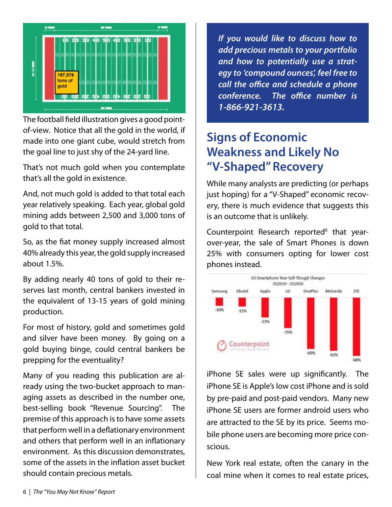

The football field illustration gives a good pointof-view. Notice that all the gold in the world, if made into one giant cube, would stretch from the goal line to just shy of the 24-yard line.

That's not much gold when you contemplate that's all the gold in existence.

And, not much gold is added to that total each year relatively speaking. Each year, global gold mining adds between 2,500 and 3,000 tons of gold to that total.

So, as the fiat money supply increased almost 40% already this year, the gold supply increased about 1.5%.

By adding nearly 40 tons of gold to their reserves last month, central bankers invested in the equivalent of 13-15 years of gold mining production.

For most of history, gold and sometimes gold and silver have been money. By going on a gold buying binge, could central bankers be prepping for the eventuality?

Many of you reading this publication are already using the two-bucket approach to managing assets as described in the number one, best-selling book "Revenue Sourcing". The premise of this approach is to have some assets that perform well in a deflationary environment and others that perform well in an inflationary environment. As this discussion demonstrates, some of the assets in the inflation asset bucket should contain precious metals.

*If you would like to discuss how to add precious metals to your portfolio and how to potentially use a strategy to 'compound ounces', feel free to call the office and schedule a phone conference. The office number is 1-866-921-3613.*

# **Signs of Economic Weakness and Likely No "V-Shaped" Recovery**

While many analysts are predicting (or perhaps just hoping) for a "V-Shaped" economic recovery, there is much evidence that suggests this is an outcome that is unlikely.

Counterpoint Research reported<sup>6</sup> that yearover-year, the sale of Smart Phones is down 25% with consumers opting for lower cost phones instead.



iPhone SE sales were up significantly. The iPhone SE is Apple's low cost iPhone and is sold by pre-paid and post-paid vendors. Many new iPhone SE users are former android users who are attracted to the SE by its price. Seems mobile phone users are becoming more price conscious.

New York real estate, often the canary in the coal mine when it comes to real estate prices,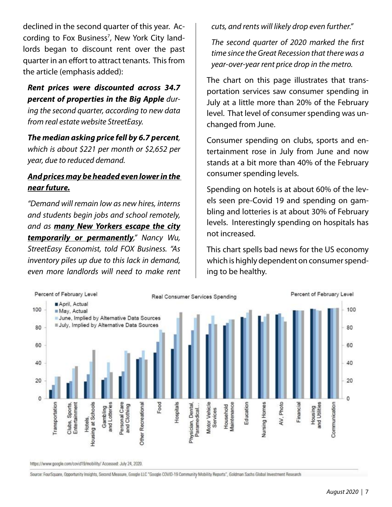declined in the second quarter of this year. According to Fox Business<sup>7</sup>, New York City landlords began to discount rent over the past quarter in an effort to attract tenants. This from the article (emphasis added):

#### *Rent prices were discounted across 34.7 percent of properties in the Big Apple during the second quarter, according to new data*

*from real estate website StreetEasy.*

*The median asking price fell by 6.7 percent, which is about \$221 per month or \$2,652 per year, due to reduced demand.*

#### *And prices may be headed even lower in the near future.*

*"Demand will remain low as new hires, interns and students begin jobs and school remotely, and as many New Yorkers escape the city temporarily or permanently," Nancy Wu, StreetEasy Economist, told FOX Business. "As inventory piles up due to this lack in demand, even more landlords will need to make rent* 

*cuts, and rents will likely drop even further."*

*The second quarter of 2020 marked the first time since the Great Recession that there was a year-over-year rent price drop in the metro.*

The chart on this page illustrates that transportation services saw consumer spending in July at a little more than 20% of the February level. That level of consumer spending was unchanged from June.

Consumer spending on clubs, sports and entertainment rose in July from June and now stands at a bit more than 40% of the February consumer spending levels.

Spending on hotels is at about 60% of the levels seen pre-Covid 19 and spending on gambling and lotteries is at about 30% of February levels. Interestingly spending on hospitals has not increased.

This chart spells bad news for the US economy which is highly dependent on consumer spending to be healthy.



https://www.google.com/covid19/mobility/ Accessed: July 24, 2020.

Source: FourSquare, Opportunity Insights, Second Measure, Google LLC "Google COVID-19 Community Mobility Reports", Goldman Sachs Global Investment Research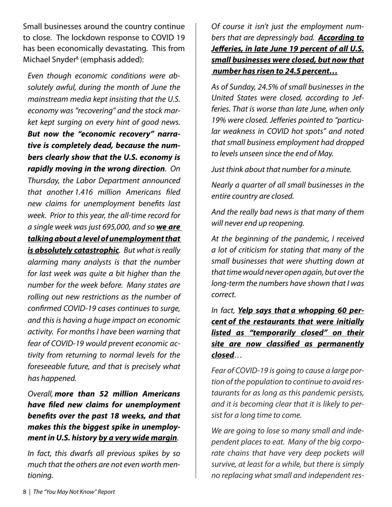Small businesses around the country continue to close. The lockdown response to COVID 19 has been economically devastating. This from Michael Snyder<sup>8</sup> (emphasis added):

*Even though economic conditions were absolutely awful, during the month of June the mainstream media kept insisting that the U.S. economy was "recovering" and the stock market kept surging on every hint of good news. But now the "economic recovery" narrative is completely dead, because the numbers clearly show that the U.S. economy is rapidly moving in the wrong direction. On Thursday, the Labor Department announced that another 1.416 million Americans filed new claims for unemployment benefits last week. Prior to this year, the all-time record for a single week was just 695,000, and so we are talking about a level of unemployment that is absolutely catastrophic. But what is really alarming many analysts is that the number for last week was quite a bit higher than the number for the week before. Many states are rolling out new restrictions as the number of confirmed COVID-19 cases continues to surge, and this is having a huge impact on economic activity. For months I have been warning that fear of COVID-19 would prevent economic activity from returning to normal levels for the foreseeable future, and that is precisely what has happened.*

*Overall, more than 52 million Americans have filed new claims for unemployment benefits over the past 18 weeks, and that makes this the biggest spike in unemployment in U.S. history by a very wide margin.*

*In fact, this dwarfs all previous spikes by so much that the others are not even worth mentioning.*

*Of course it isn't just the employment numbers that are depressingly bad. According to Jefferies, in late June 19 percent of all U.S. small businesses were closed, but now that number has risen to 24.5 percent…*

*As of Sunday, 24.5% of small businesses in the United States were closed, according to Jefferies. That is worse than late June, when only 19% were closed. Jefferies pointed to "particular weakness in COVID hot spots" and noted that small business employment had dropped to levels unseen since the end of May.*

*Just think about that number for a minute.*

*Nearly a quarter of all small businesses in the entire country are closed.*

*And the really bad news is that many of them will never end up reopening.*

*At the beginning of the pandemic, I received a lot of criticism for stating that many of the small businesses that were shutting down at that time would never open again, but over the long-term the numbers have shown that I was correct.*

*In fact, Yelp says that a whopping 60 percent of the restaurants that were initially listed as "temporarily closed" on their site are now classified as permanently closed…*

*Fear of COVID-19 is going to cause a large portion of the population to continue to avoid restaurants for as long as this pandemic persists, and it is becoming clear that it is likely to persist for a long time to come.*

*We are going to lose so many small and independent places to eat. Many of the big corporate chains that have very deep pockets will survive, at least for a while, but there is simply no replacing what small and independent res-*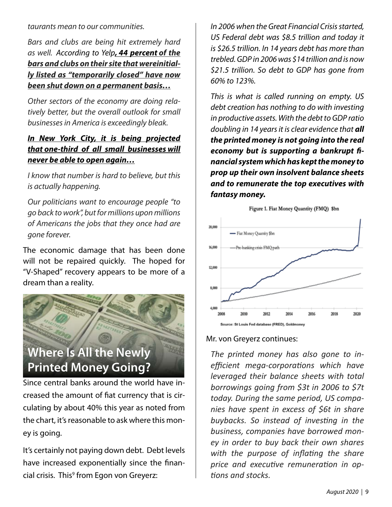*taurants mean to our communities.*

*Bars and clubs are being hit extremely hard as well. According to Yelp, 44 percent of the bars and clubs on their site that wereinitially listed as "temporarily closed" have now been shut down on a permanent basis…*

*Other sectors of the economy are doing relatively better, but the overall outlook for small businesses in America is exceedingly bleak.*

#### *In New York City, it is being projected that one-third of all small businesses will never be able to open again…*

*I know that number is hard to believe, but this is actually happening.*

*Our politicians want to encourage people "to go back to work", but for millions upon millions of Americans the jobs that they once had are gone forever.*

The economic damage that has been done will not be repaired quickly. The hoped for "V-Shaped" recovery appears to be more of a dream than a reality.



Since central banks around the world have increased the amount of fiat currency that is circulating by about 40% this year as noted from the chart, it's reasonable to ask where this money is going.

It's certainly not paying down debt. Debt levels have increased exponentially since the financial crisis. This<sup>9</sup> from Egon von Greyerz:

*In 2006 when the Great Financial Crisis started, US Federal debt was \$8.5 trillion and today it is \$26.5 trillion. In 14 years debt has more than trebled. GDP in 2006 was \$14 trillion and is now \$21.5 trillion. So debt to GDP has gone from 60% to 123%.*

*This is what is called running on empty. US debt creation has nothing to do with investing in productive assets. With the debt to GDP ratio doubling in 14 years it is clear evidence that all the printed money is not going into the real economy but is supporting a bankrupt financial system which has kept the money to prop up their own insolvent balance sheets and to remunerate the top executives with fantasy money.*



#### Mr. von Greyerz continues:

*The printed money has also gone to inefficient mega-corporations which have leveraged their balance sheets with total borrowings going from \$3t in 2006 to \$7t today. During the same period, US companies have spent in excess of \$6t in share buybacks. So instead of investing in the business, companies have borrowed money in order to buy back their own shares with the purpose of inflating the share price and executive remuneration in options and stocks.*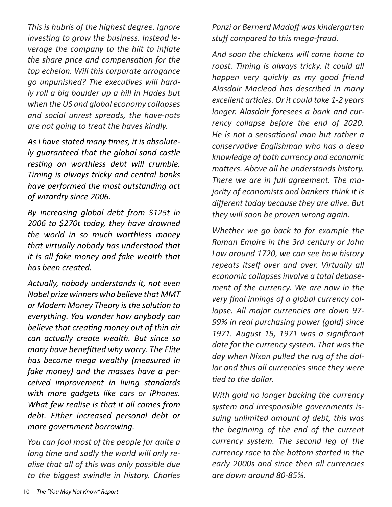*This is hubris of the highest degree. Ignore investing to grow the business. Instead leverage the company to the hilt to inflate the share price and compensation for the top echelon. Will this corporate arrogance go unpunished? The executives will hardly roll a big boulder up a hill in Hades but when the US and global economy collapses and social unrest spreads, the have-nots are not going to treat the haves kindly.*

*As I have stated many times, it is absolutely guaranteed that the global sand castle resting on worthless debt will crumble. Timing is always tricky and central banks have performed the most outstanding act of wizardry since 2006.*

*By increasing global debt from \$125t in 2006 to \$270t today, they have drowned the world in so much worthless money that virtually nobody has understood that it is all fake money and fake wealth that has been created.*

*Actually, nobody understands it, not even Nobel prize winners who believe that MMT or Modern Money Theory is the solution to everything. You wonder how anybody can believe that creating money out of thin air can actually create wealth. But since so many have benefitted why worry. The Elite has become mega wealthy (measured in fake money) and the masses have a perceived improvement in living standards with more gadgets like cars or iPhones. What few realise is that it all comes from debt. Either increased personal debt or more government borrowing.*

*You can fool most of the people for quite a long time and sadly the world will only realise that all of this was only possible due to the biggest swindle in history. Charles*  *Ponzi or Bernerd Madoff was kindergarten stuff compared to this mega-fraud.*

*And soon the chickens will come home to roost. Timing is always tricky. It could all happen very quickly as my good friend Alasdair Macleod has described in many excellent articles. Or it could take 1-2 years longer. Alasdair foresees a bank and currency collapse before the end of 2020. He is not a sensational man but rather a conservative Englishman who has a deep knowledge of both currency and economic matters. Above all he understands history. There we are in full agreement. The majority of economists and bankers think it is different today because they are alive. But they will soon be proven wrong again.*

*Whether we go back to for example the Roman Empire in the 3rd century or John Law around 1720, we can see how history repeats itself over and over. Virtually all economic collapses involve a total debasement of the currency. We are now in the very final innings of a global currency collapse. All major currencies are down 97- 99% in real purchasing power (gold) since 1971. August 15, 1971 was a significant date for the currency system. That was the day when Nixon pulled the rug of the dollar and thus all currencies since they were tied to the dollar.*

*With gold no longer backing the currency system and irresponsible governments issuing unlimited amount of debt, this was the beginning of the end of the current currency system. The second leg of the currency race to the bottom started in the early 2000s and since then all currencies are down around 80-85%.*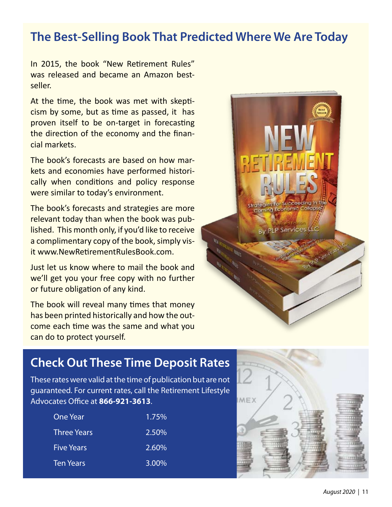### **The Best-Selling Book That Predicted Where We Are Today**

In 2015, the book "New Retirement Rules" was released and became an Amazon bestseller.

At the time, the book was met with skepticism by some, but as time as passed, it has proven itself to be on-target in forecasting the direction of the economy and the financial markets.

The book's forecasts are based on how markets and economies have performed historically when conditions and policy response were similar to today's environment.

The book's forecasts and strategies are more relevant today than when the book was published. This month only, if you'd like to receive a complimentary copy of the book, simply visit www.NewRetirementRulesBook.com.

Just let us know where to mail the book and we'll get you your free copy with no further or future obligation of any kind.

The book will reveal many times that money has been printed historically and how the outcome each time was the same and what you can do to protect yourself.



### **Check Out These Time Deposit Rates**

These rates were valid at the time of publication but are not guaranteed. For current rates, call the Retirement Lifestyle Advocates Office at **866-921-3613**.

| 1.75% |
|-------|
| 2.50% |
| 2.60% |
| 3.00% |
|       |